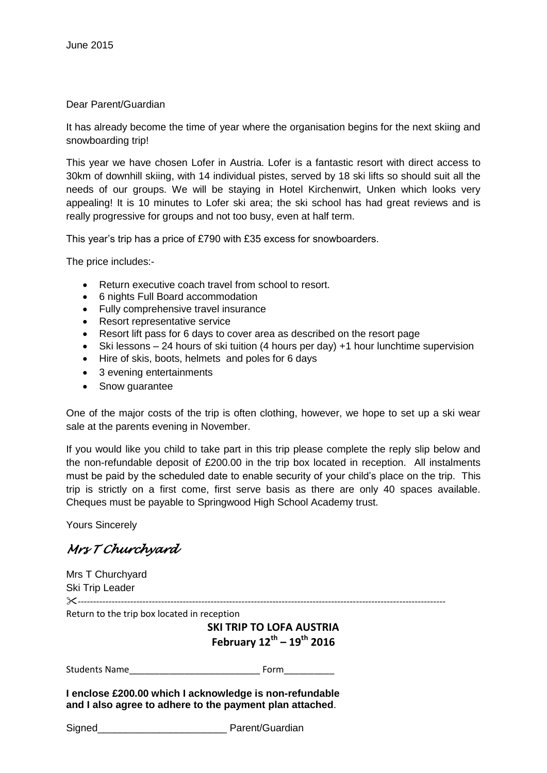## Dear Parent/Guardian

It has already become the time of year where the organisation begins for the next skiing and snowboarding trip!

This year we have chosen Lofer in Austria. Lofer is a fantastic resort with direct access to 30km of downhill skiing, with 14 individual pistes, served by 18 ski lifts so should suit all the needs of our groups. We will be staying in Hotel Kirchenwirt, Unken which looks very appealing! It is 10 minutes to Lofer ski area; the ski school has had great reviews and is really progressive for groups and not too busy, even at half term.

This year's trip has a price of £790 with £35 excess for snowboarders.

The price includes:-

- Return executive coach travel from school to resort.
- 6 nights Full Board accommodation
- Fully comprehensive travel insurance
- Resort representative service
- Resort lift pass for 6 days to cover area as described on the resort page
- Ski lessons 24 hours of ski tuition (4 hours per day) +1 hour lunchtime supervision
- Hire of skis, boots, helmets and poles for 6 days
- 3 evening entertainments
- Snow guarantee

One of the major costs of the trip is often clothing, however, we hope to set up a ski wear sale at the parents evening in November.

If you would like you child to take part in this trip please complete the reply slip below and the non-refundable deposit of £200.00 in the trip box located in reception. All instalments must be paid by the scheduled date to enable security of your child's place on the trip. This trip is strictly on a first come, first serve basis as there are only 40 spaces available. Cheques must be payable to Springwood High School Academy trust.

Yours Sincerely

## *Mrs T Churchyard*

| Mrs T Churchyard                            |                                                          |  |
|---------------------------------------------|----------------------------------------------------------|--|
| <b>Ski Trip Leader</b>                      |                                                          |  |
|                                             |                                                          |  |
| Return to the trip box located in reception |                                                          |  |
|                                             | <b>SKI TRIP TO LOFA AUSTRIA</b>                          |  |
|                                             | February $12^{th} - 19^{th}$ 2016                        |  |
| Students Name <b>Students</b> Name          | Form                                                     |  |
|                                             | I enclose £200.00 which I acknowledge is non-refundable  |  |
|                                             | and I also agree to adhere to the payment plan attached. |  |

Signed **Signed Parent/Guardian**